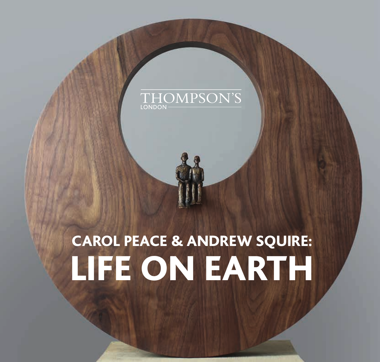## THOMPSON'S

## CAROL PEACE & ANDREW SQUIRE: LIFE ON EARTH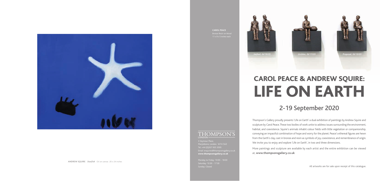All artworks are for sale upon receipt of this catalogue.

Marylebone, London. W1H 5AZ Tel: +44 (0)207 935 3595 www.thompsonsgallery.co.uk

### 2-19 September 2020

# CAROL PEACE & ANDREW SQUIRE: LIFE ON EARTH

Thompson's Gallery proudly presents 'Life on Earth' a dual exhibition of paintings by Andrew Squire and sculpture by Carol Peace. These two bodies of work unite to address issues surrounding the environment, habitat, and coexistence. Squire's animals inhabit colour fields with little vegetation or companionship, conveying an impactful combination of hope and worry for the planet. Peace's ethereal figures are hewn from the Earth's clay, cast in bronze and resin as symbols of joy, coexistence, and remembrance of origin. We invite you to enjoy and explore 'Life on Earth', in two and three dimensions.

More paintings and sculpture are available by each artist and the entire exhibition can be viewed at, **www.thompsonsgallery.co.uk**

#### THOMPSON'S

**CAROL PEACE**







**ANDREW SQUIRE** *Starfish* Oil on canvas 20 x 24 inches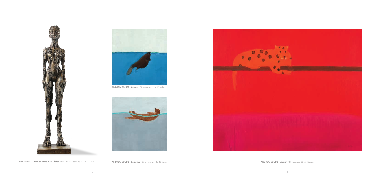

**ANDREW SQUIRE** *Beaver* Oil on canvas 12 x 12 inches







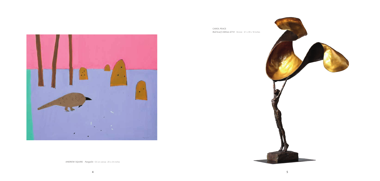



**ANDREW SQUIRE** *Pangolin* Oil on canvas 20 x 24 inches



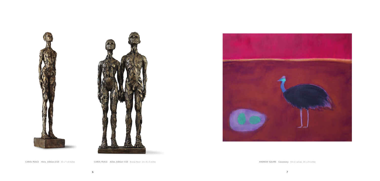



**CAROL PEACE** *Here, Edition 2/25* 35 x 7 x 8 inches **CAROL PEACE** *Allies, Edition 1/25* Bronze Resin 23 x 9 x 5 inches **ANDREW SQUIRE** *Cassowary* Oil on canvas 20 x 24 inches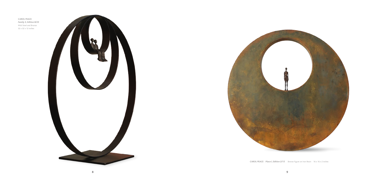**CAROL PEACE** *Family 3, Edition 8/25* Mild Steel and Bronze 32 x 32 x 12 inches





**CAROL PEACE** *Place I, Edition 2/15* Bronze Figure on Iron Resin 16 x 16 x 2 inches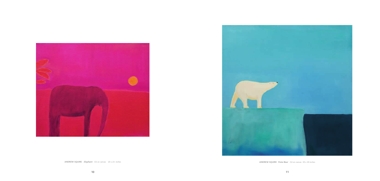



**ANDREW SQUIRE** *Elephant* Oil on canvas 20 x 24 inches **ANDREW SQUIRE** *Polar Bear* Oil on canvas 39 x 39 inches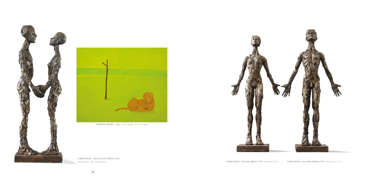**CAROL PEACE** *There You Are, Edition 1/25*  Bronze Resin 24 x 10 x 6 inches **CAROL PEACE** *Love Her, Edition 1/25* **CAROL PEACE** *Love Him, Edition 1/25* **CAROL PEACE** *Love Him, Edition 1/25* **Bronze 24 x 11 x 5** 







**ANDREW SQUIRE** *Lion* Oil on canvas 20 x 24 inches